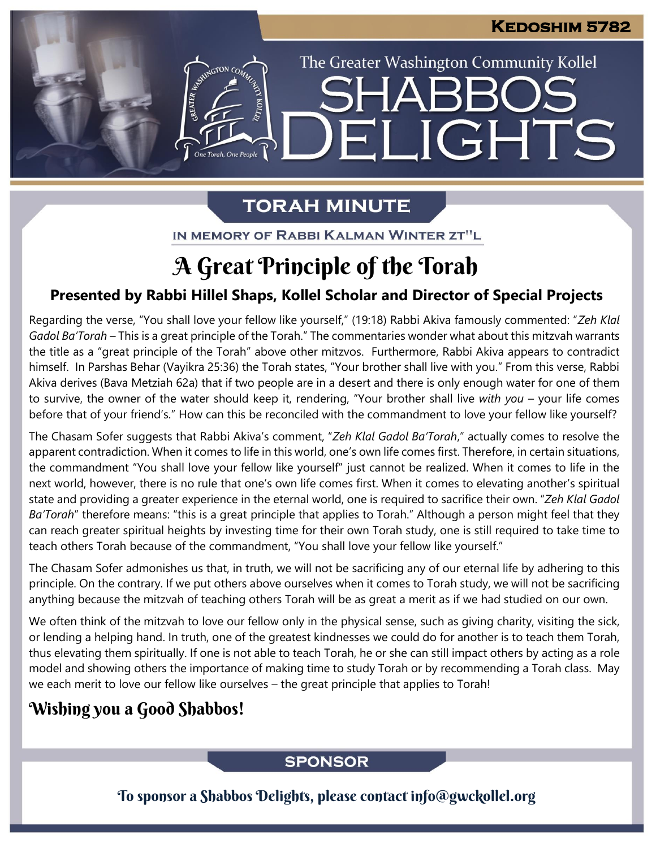The Greater Washington Community Kollel

LIGHTS

# **TORAH MINUTE**

EI

ESTER AVENUE CON CON

IN MEMORY OF RABBI KALMAN WINTER ZT"L

# A Great Principle of the Torah

## **Presented by Rabbi Hillel Shaps, Kollel Scholar and Director of Special Projects**

Regarding the verse, "You shall love your fellow like yourself," (19:18) Rabbi Akiva famously commented: "Zeh Klal *Gadol Ba'Torah –* This is a great principle of the Torah." The commentaries wonder what about this mitzvah warrants the title as a "great principle of the Torah" above other mitzvos. Furthermore, Rabbi Akiva appears to contradict himself. In Parshas Behar (Vayikra 25:36) the Torah states, "Your brother shall live with you." From this verse, Rabbi Akiva derives (Bava Metziah 62a) that if two people are in a desert and there is only enough water for one of them to survive, the owner of the water should keep it, rendering, "Your brother shall live *with you* – your life comes before that of your friend's." How can this be reconciled with the commandment to love your fellow like yourself?

The Chasam Sofer suggests that Rabbi Akiva's comment, "*Zeh Klal Gadol Ba'Torah*," actually comes to resolve the apparent contradiction. When it comes to life in this world, one's own life comes first. Therefore, in certain situations, the commandment "You shall love your fellow like yourself" just cannot be realized. When it comes to life in the next world, however, there is no rule that one's own life comes first. When it comes to elevating another's spiritual state and providing a greater experience in the eternal world, one is required to sacrifice their own. "*Zeh Klal Gadol Ba'Torah*" therefore means: "this is a great principle that applies to Torah." Although a person might feel that they can reach greater spiritual heights by investing time for their own Torah study, one is still required to take time to teach others Torah because of the commandment, "You shall love your fellow like yourself."

The Chasam Sofer admonishes us that, in truth, we will not be sacrificing any of our eternal life by adhering to this principle. On the contrary. If we put others above ourselves when it comes to Torah study, we will not be sacrificing anything because the mitzvah of teaching others Torah will be as great a merit as if we had studied on our own.

We often think of the mitzvah to love our fellow only in the physical sense, such as giving charity, visiting the sick, or lending a helping hand. In truth, one of the greatest kindnesses we could do for another is to teach them Torah, thus elevating them spiritually. If one is not able to teach Torah, he or she can still impact others by acting as a role model and showing others the importance of making time to study Torah or by recommending a Torah class. May we each merit to love our fellow like ourselves – the great principle that applies to Torah!

# Wishing you a Good Shabbos!

## **SPONSOR**

To sponsor a Shabbos Delights, please contact info@gwckollel.org